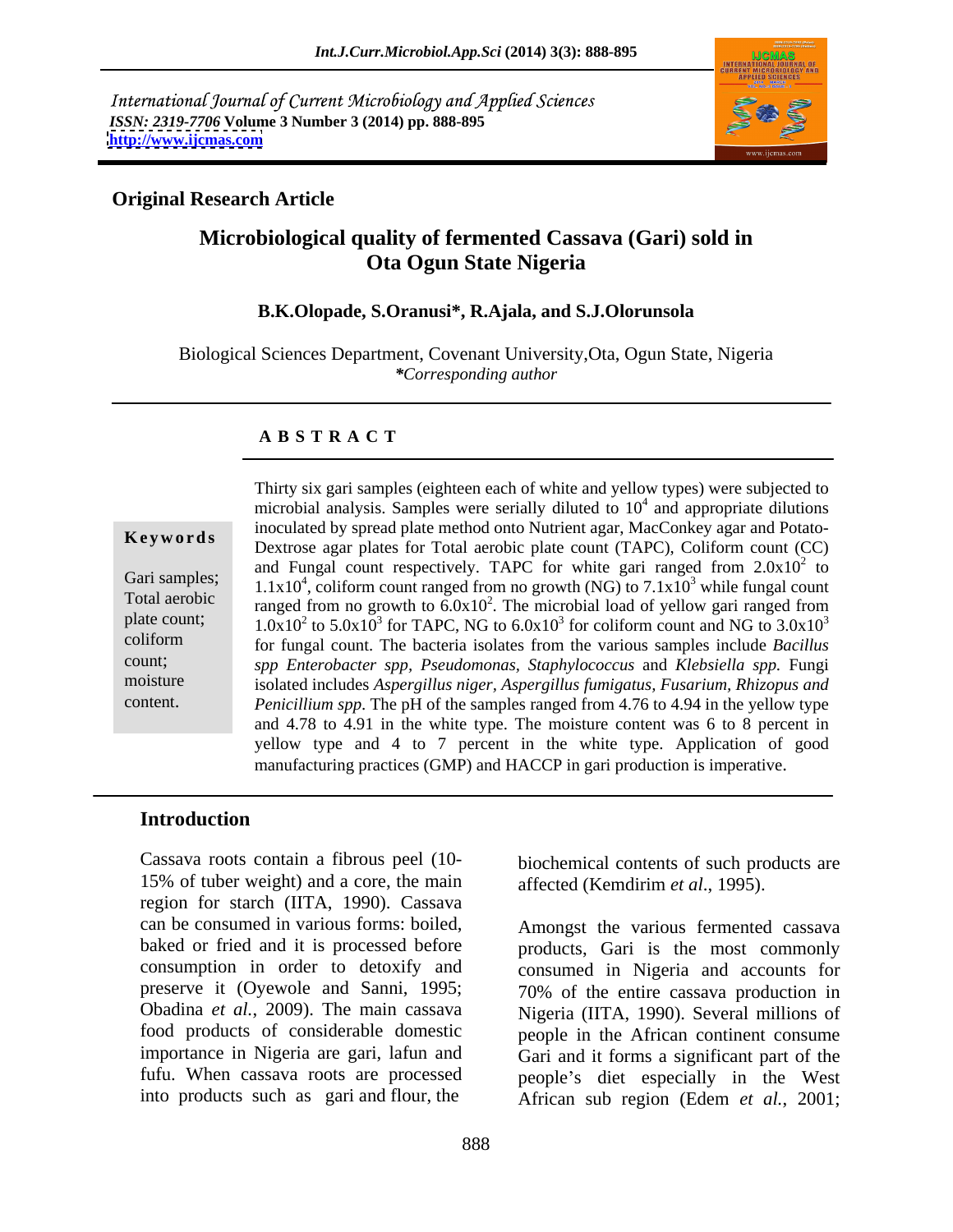International Journal of Current Microbiology and Applied Sciences *ISSN: 2319-7706* **Volume 3 Number 3 (2014) pp. 888-895 <http://www.ijcmas.com>**



# **Original Research Article**

# **Microbiological quality of fermented Cassava (Gari) sold in Ota Ogun State Nigeria**

### **B.K.Olopade, S.Oranusi\*, R.Ajala, and S.J.Olorunsola**

Biological Sciences Department, Covenant University,Ota, Ogun State, Nigeria *\*Corresponding author*

### **A B S T R A C T**

**Ke ywo rds** Dextrose agar plates for Total aerobic plate count (TAPC), Coliform count (CC) Gari samples;  $1.1x10^4$ , coliform count ranged from no growth (NG) to  $7.1x10^3$  while fungal count Total aerobic ranged from no growth to  $6.0x10<sup>2</sup>$ . The microbial load of yellow gari ranged from plate count;  $1.0x10^2$  to  $5.0x10^3$  for TAPC, NG to  $6.0x10^3$  for coliform count and NG to  $3.0x10^3$ coliform for fungal count. The bacteria isolates from the various samples include *Bacillus*  count; *spp Enterobacter spp, Pseudomonas, Staphylococcus* and *Klebsiella spp.* Fungi moisture isolated includes *Aspergillus niger, Aspergillus fumigatus, Fusarium, Rhizopus and*  Thirty six gari samples (eighteen each of white and yellow types) were subjected to<br>microbial analysis. Samples were serially diluted to 10<sup>4</sup> and appropriate dilutions<br>inoculated by spread plate method onto Nutrient agar microbial analysis. Samples were serially diluted to  $10<sup>4</sup>$  and appropriate dilutions and appropriate dilutions inoculated by spread plate method onto Nutrient agar, MacConkey agar and Potato and Fungal count respectively. TAPC for white gari ranged from  $2.0x10^2$  to  $^2$  to to for coliform count and NG to  $3.0x10<sup>3</sup>$ 3 *Penicillium spp*. The pH of the samples ranged from 4.76 to 4.94 in the yellow type and 4.78 to 4.91 in the white type. The moisture content was 6 to 8 percent in yellow type and 4 to 7 percent in the white type. Application of good manufacturing practices (GMP) and HACCP in gari production is imperative.

## **Introduction**

Cassava roots contain a fibrous peel (10- biochemical contents of such products are 15% of tuber weight) and a core, the main affected (Kemdirim et al., 1995). region for starch (IITA, 1990). Cassava can be consumed in various forms: boiled, Amongst the various fermented cassava baked or fried and it is processed before products, Gari is the most commonly consumption in order to detoxify and preserve it (Oyewole and Sanni, 1995; 70% of the entire cassava production in Obadina *et al.*, 2009). The main cassava Nigeria (IITA, 1990). Several millions of food products of considerable domestic people in the African continent consume importance in Nigeria are gari, lafun and fufu. When cassava roots are processed people's diet especially in the West into products such as gari and flour, the

affected (Kemdirim *et al*., 1995).

consumed in Nigeria and accounts for Gari and it forms a significant part of the African sub region (Edem *et al.*, 2001;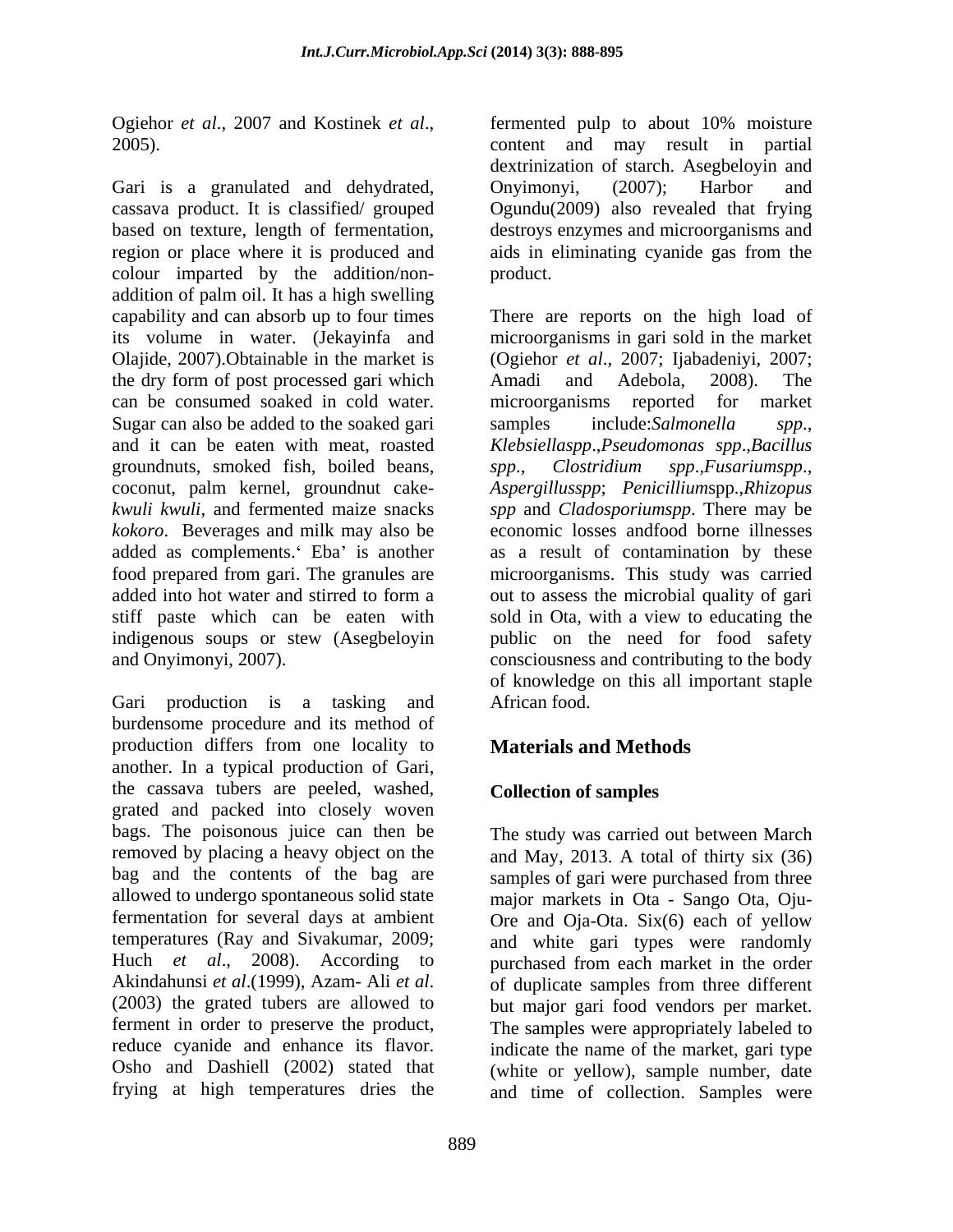Gari is a granulated and dehydrated, Onyimonyi, (2007); Harbor and cassava product. It is classified/ grouped Ogundu(2009) also revealed that frying based on texture, length of fermentation, destroys enzymes and microorganisms and region or place where it is produced and aids in eliminating cyanide gas from the colour imparted by the addition/non-<br>product. addition of palm oil. It has a high swelling capability and can absorb up to four times There are reports on the high load of its volume in water. (Jekayinfa and microorganisms in gari sold in the market Olajide, 2007).Obtainable in the market is (Ogiehor *et al*., 2007; Ijabadeniyi, 2007; the dry form of post processed gari which Amadi and Adebola, 2008). The can be consumed soaked in cold water. Sugar can also be added to the soaked gari samples include: Salmonella spp., and it can be eaten with meat, roasted *Klebsiellaspp*.,*Pseudomonas spp*.,*Bacillus*  groundnuts, smoked fish, boiled beans, coconut, palm kernel, groundnut cake- *Aspergillusspp*; *Penicillium*spp.,*Rhizopus kwuli kwuli*, and fermented maize snacks *spp* and *Cladosporiumspp*. There may be *kokoro*. Beverages and milk may also be added as complements. Eba' is another as a result of contamination by these food prepared from gari. The granules are microorganisms. This study was carried added into hot water and stirred to form a out to assess the microbial quality of gari stiff paste which can be eaten with sold in Ota, with a view to educating the indigenous soups or stew (Asegbeloyin public on the need for food safety and Onyimonyi, 2007). consciousness and contributing to the body

Gari production is a tasking and African food. burdensome procedure and its method of production differs from one locality to another. In a typical production of Gari, the cassava tubers are peeled, washed, grated and packed into closely woven bags. The poisonous juice can then be removed by placing a heavy object on the and May, 2013. A total of thirty six (36) bag and the contents of the bag are samples of gari were purchased from three allowed to undergo spontaneous solid state major markets in Ota - Sango Ota, Oju fermentation for several days at ambient Ore and Oja-Ota. Six(6) each of yellow temperatures (Ray and Sivakumar, 2009; and white gari types were randomly Huch *et al*., 2008). According to purchased from each market in the order Akindahunsi *et al*.(1999), Azam- Ali *et al*. (2003) the grated tubers are allowed to but major gari food vendors per market. ferment in order to preserve the product, The samples were appropriately labeled to reduce cyanide and enhance its flavor. indicate the name of the market, gari type Osho and Dashiell (2002) stated that (white or yellow), sample number, date

Ogiehor *et al.*, 2007 and Kostinek *et al.*, <br>2005). <br>2005). <br>2005 content and may result in partial fermented pulp to about 10% moisture content and may result in partial dextrinization of starch. Asegbeloyin and Onyimonyi, (2007); Harbor and aids in eliminating cyanide gas from the product.

> Amadi and Adebola, 2008). The microorganisms reported for market samples include:*Salmonella spp*., *spp*., *Clostridium spp*.,*Fusariumspp*., economic losses andfood borne illnesses of knowledge on this all important staple African food.

# **Materials and Methods**

# **Collection of samples**

frying at high temperatures dries the and time of collection. Samples wereThe study was carried out between March of duplicate samples from three different but major gari food vendors per market.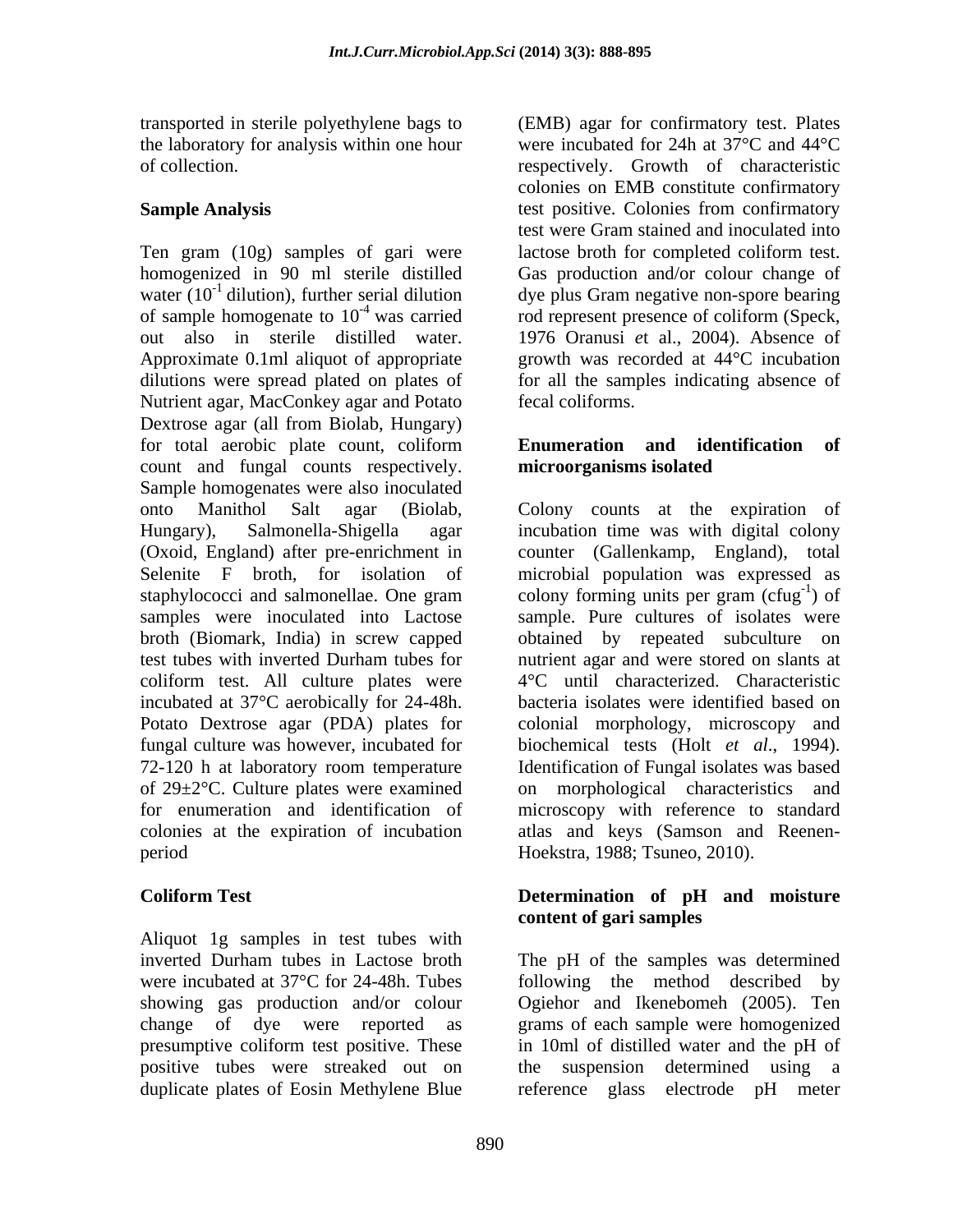Ten gram (10g) samples of gari were lactose broth for completed coliform test. homogenized in 90 ml sterile distilled Gas production and/or colour change of water  $(10^{-1}$  dilution), further serial dilution dye plus Gram negative non-spore bearing of sample homogenate to  $10^{-4}$  was carried rod represent presence of coliform (Speck, out also in sterile distilled water. 1976 Oranusi *e*t al., 2004). Absence of Approximate 0.1ml aliquot of appropriate dilutions were spread plated on plates of Nutrient agar, MacConkey agar and Potato Dextrose agar (all from Biolab, Hungary) for total aerobic plate count, coliform Enumeration and identification of count and fungal counts respectively. **microorganisms isolated** Sample homogenates were also inoculated onto Manithol Salt agar (Biolab, Colony counts at the expiration of Hungary), Salmonella-Shigella agar incubation time was with digital colony (Oxoid, England) after pre-enrichment in counter (Gallenkamp, England), total Selenite F broth, for isolation of microbial population was expressed as staphylococci and salmonellae. One gram colony forming units per gram (cfug<sup>-1</sup>) of samples were inoculated into Lactose sample. Pure cultures of isolates were broth (Biomark, India) in screw capped obtained by repeated subculture on test tubes with inverted Durham tubes for coliform test. All culture plates were incubated at 37°C aerobically for 24-48h. Potato Dextrose agar (PDA) plates for colonial morphology, microscopy and fungal culture was however, incubated for biochemical tests (Holt *et al*., 1994). 72-120 h at laboratory room temperature Identification of Fungal isolates was based of 29±2°C. Culture plates were examined on morphological characteristics and for enumeration and identification of microscopy with reference to standard colonies at the expiration of incubation atlas and keys (Samson and Reenen period Hoekstra, 1988; Tsuneo, 2010).

Aliquot 1g samples in test tubes with duplicate plates of Eosin Methylene Blue reference glass electrode pH meter

transported in sterile polyethylene bags to (EMB) agar for confirmatory test. Plates the laboratory for analysis within one hour were incubated for 24h at  $37^{\circ}$ C and  $44^{\circ}$ C of collection. respectively. Growth of characteristic Sample Analysis **Sample Analysis** test positive. Colonies from confirmatory colonies on EMB constitute confirmatory test were Gram stained and inoculated into lactose broth for completed coliform test. growth was recorded at 44°C incubation for all the samples indicating absence of fecal coliforms.

# **Enumeration and identification of microorganisms isolated**

 $-1\sqrt{ef}$ ) of nutrient agar and were stored on slants at 4°C until characterized. Characteristic bacteria isolates were identified based on

## **Coliform Test Determination of pH and moisture content of gari samples**

inverted Durham tubes in Lactose broth The pH of the samples was determined were incubated at 37°C for 24-48h. Tubes following the method described by showing gas production and/or colour Ogiehor and Ikenebomeh (2005). Ten change of dye were reported as grams of each sample were homogenized presumptive coliform test positive. These in 10ml of distilled water and the pH of positive tubes were streaked out on the suspension determined using a in 10ml of distilled water and the pH of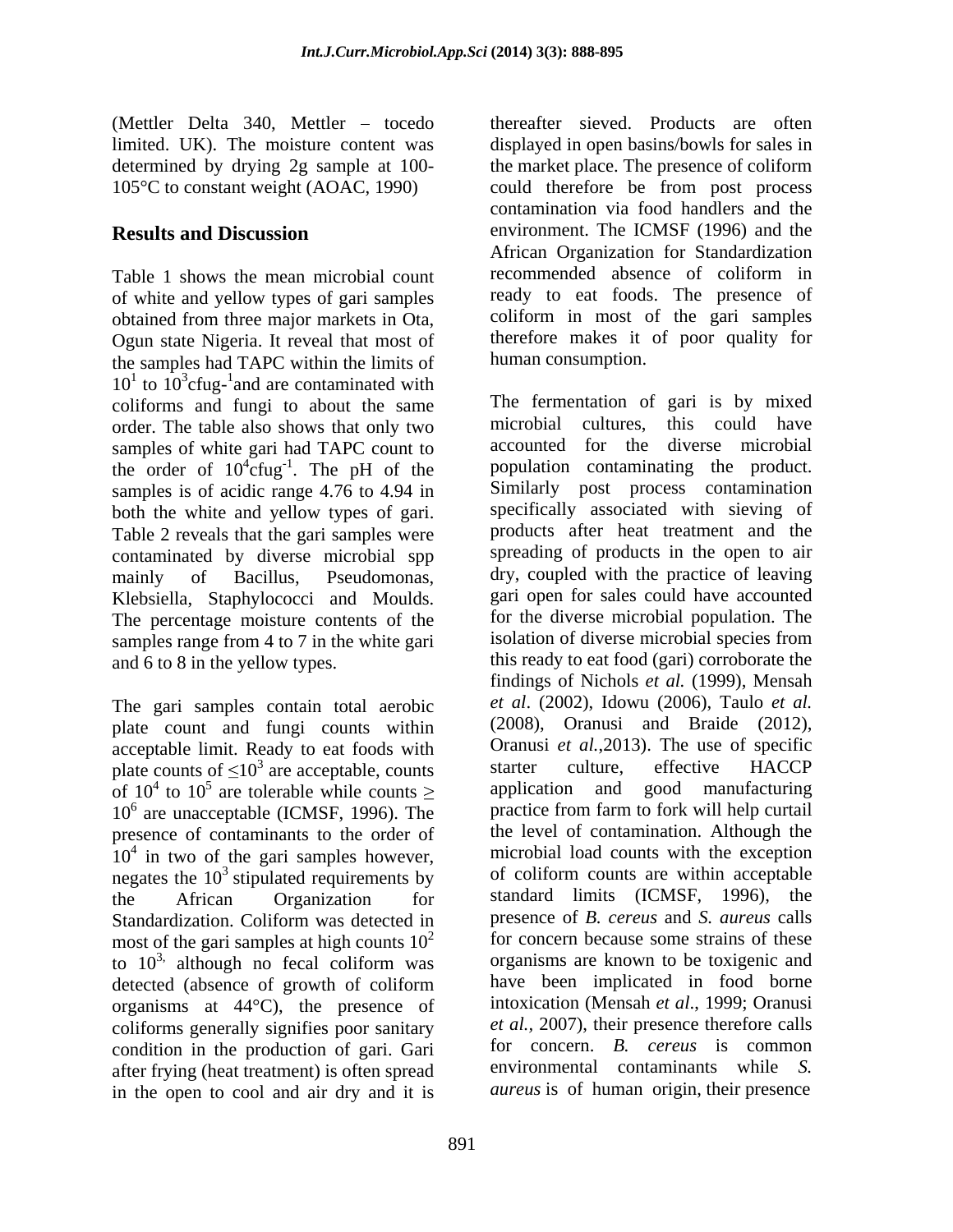of white and yellow types of gari samples obtained from three major markets in Ota, Ogun state Nigeria. It reveal that most of the samples had TAPC within the limits of  $10<sup>1</sup>$  to  $10<sup>3</sup>$ cfug-<sup>1</sup> and are contaminated with coliforms and fungi to about the same order. The table also shows that only two samples of white gari had TAPC count to the order of  $10^4$ cfug<sup>-1</sup>. The pH of the samples is of acidic range 4.76 to 4.94 in both the white and yellow types of gari. Table 2 reveals that the gari samples were contaminated by diverse microbial spp Klebsiella, Staphylococci and Moulds. The percentage moisture contents of the samples range from 4 to 7 in the white gari

The gari samples contain total aerobic plate count and fungi counts within acceptable limit. Ready to eat foods with  $\frac{1}{2}$  Oranusi *et al.*, 2013). The use of specific plate counts of  $\leq 10^3$  are acceptable counts starter culture, effective HACCP presence of contaminants to the order of negates the  $10<sup>3</sup>$  stipulated requirements by Standardization. Coliform was detected in most of the gari samples at high counts  $10^2$ to  $10<sup>3</sup>$ , although no fecal coliform was detected (absence of growth of coliform organisms at 44°C), the presence of coliforms generally signifies poor sanitary condition in the production of gari. Gari after frying (heat treatment) is often spread in the open to cool and air dry and it is

(Mettler Delta 340, Mettler – tocedo thereafter sieved. Products are often limited. UK). The moisture content was displayed in open basins/bowls for sales in determined by drying 2g sample at 100- the market place. The presence of coliform 105°C to constant weight (AOAC, 1990) could therefore be from post process **Results and Discussion** environment. The ICMSF (1996) and the Table 1 shows the mean microbial count recommended absence of coliform in contamination via food handlers and the African Organization for Standardization recommended absence of coliform in ready to eat foods. The presence of coliform in most of the gari samples therefore makes it of poor quality for human consumption.

 ${}^{4}$ cfug<sup>-1</sup>. The pH of the product population contaminating the product. . The pH of the population contaminating the product. mainly of Bacillus, Pseudomonas, dry, coupled with the practice of leaving and 6 to 8 in the yellow types. this ready to eat food (gari) corroborate the plate counts of  $\leq 10^3$  are acceptable, counts starter culture, effective HACCP of  $10^4$  to  $10^5$  are tolerable while counts  $\geq$  application and good manufacturing 10<sup>6</sup> are unacceptable (ICMSF, 1996). The practice from farm to fork will help curtail  $10<sup>4</sup>$  in two of the gari samples however, microbial load counts with the exception <sup>3</sup> stipulated requirements by of coliform counts are within acceptable the African Organization for standard limits (ICMSF, 1996), the <sup>3,</sup> although no fecal coliform was organisms are known to be toxigenic and The fermentation of gari is by mixed microbial cultures, this could have accounted for the diverse microbial Similarly post process contamination specifically associated with sieving of products after heat treatment and the spreading of products in the open to air gari open for sales could have accounted for the diverse microbial population.The isolation of diverse microbial species from findings of Nichols *et al.* (1999), Mensah *et al.* (2002), Idowu (2006), Taulo *et al.* (2008), Oranusi and Braide (2012), Oranusi *et al.*,2013). The use of specific starter culture, effective HACCP application and good manufacturing practice from farm to fork will help curtail the level of contamination. Although the microbial load counts with the exception presence of *B. cereus* and *S. aureus* calls for concern because some strains of these organisms are known to be toxigenic and have been implicated in food borne intoxication (Mensah *et al*., 1999; Oranusi *et al.,* 2007), their presence therefore calls for concern. *B. cereus* is common environmental contaminants while *S. aureus* is of human origin, their presence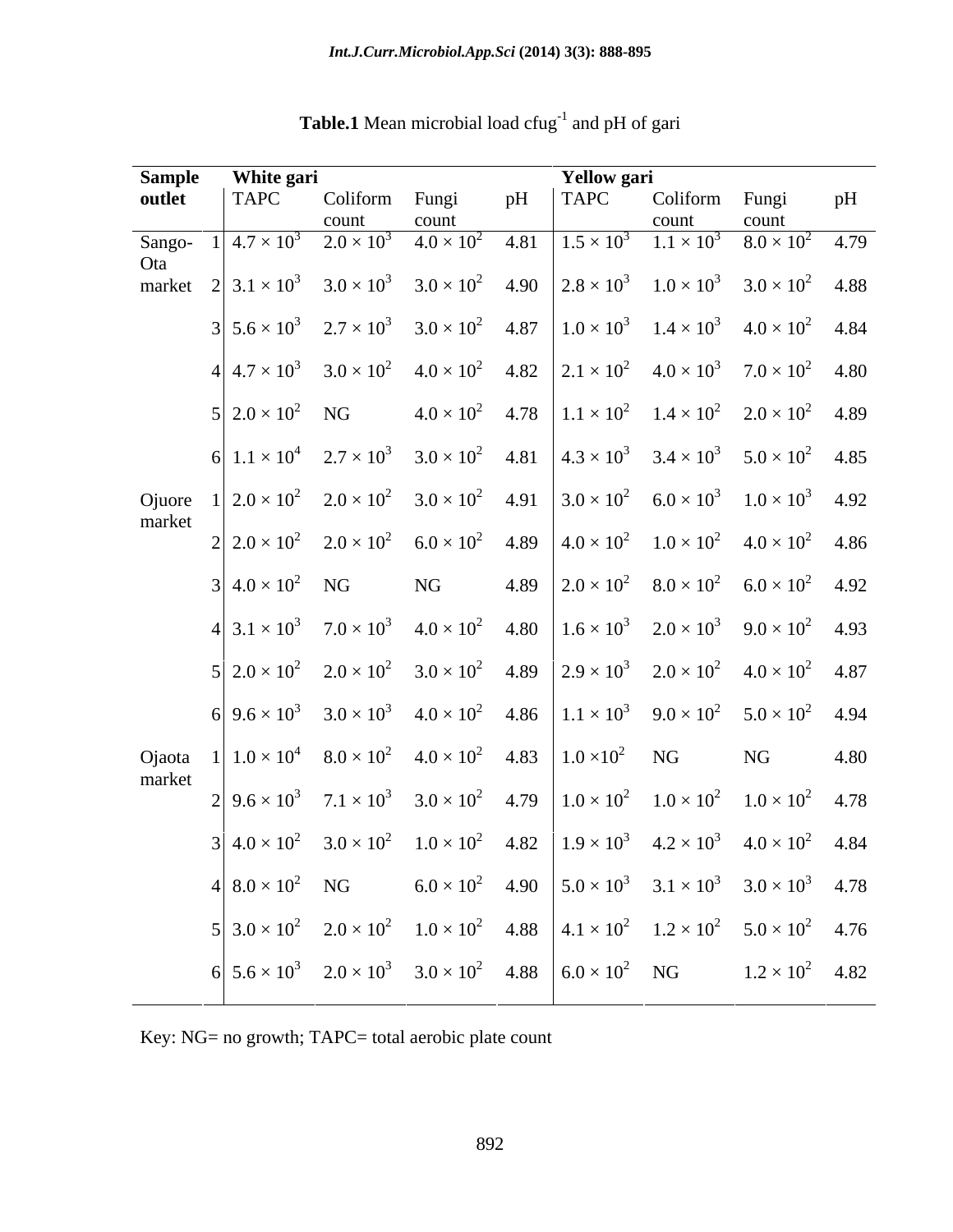| <b>Sample</b> | White gari                                                                                                                                                                             |                |                                                                                         |    | <b>Yellow</b> gari |                     |      |
|---------------|----------------------------------------------------------------------------------------------------------------------------------------------------------------------------------------|----------------|-----------------------------------------------------------------------------------------|----|--------------------|---------------------|------|
| outlet        | <b>TAPC</b>                                                                                                                                                                            | Coliform Fungi |                                                                                         | pH |                    | TAPC Coliform Fungi | - pH |
|               |                                                                                                                                                                                        |                | count                                                                                   |    |                    |                     |      |
| Sango-        | $1\overline{)4.7\times10^{3}$ $2.0\times10^{3}$ $4.0\times10^{2}$ $4.81$ $1.5\times10^{3}$ $1.1\times10^{3}$ $8.0\times10^{2}$ $4.79$                                                  |                |                                                                                         |    |                    |                     |      |
| Ota           | market $2   3.1 \times 10^3$ $3.0 \times 10^3$ $3.0 \times 10^2$ $4.90$ $  2.8 \times 10^3$ $1.0 \times 10^3$ $3.0 \times 10^2$ $4.88$                                                 |                |                                                                                         |    |                    |                     |      |
|               |                                                                                                                                                                                        |                |                                                                                         |    |                    |                     |      |
|               | $3\begin{vmatrix} 5.6 \times 10^3 & 2.7 \times 10^3 & 3.0 \times 10^2 & 4.87 \end{vmatrix}$ $1.0 \times 10^3$ $1.4 \times 10^3$ $4.0 \times 10^2$ $4.84$                               |                |                                                                                         |    |                    |                     |      |
|               |                                                                                                                                                                                        |                |                                                                                         |    |                    |                     |      |
|               | $4.7 \times 10^3$ $3.0 \times 10^2$ $4.0 \times 10^2$ $4.82$ $2.1 \times 10^2$ $4.0 \times 10^3$ $7.0 \times 10^2$ $4.80$                                                              |                |                                                                                         |    |                    |                     |      |
|               | $5 2.0 \times 10^2$ NG $4.0 \times 10^2$ $4.78 1.1 \times 10^2$ $1.4 \times 10^2$ $2.0 \times 10^2$ $4.89$                                                                             |                |                                                                                         |    |                    |                     |      |
|               |                                                                                                                                                                                        |                |                                                                                         |    |                    |                     |      |
|               | 6 $1.1 \times 10^4$ $2.7 \times 10^3$ $3.0 \times 10^2$ $4.81$ $4.3 \times 10^3$ $3.4 \times 10^3$ $5.0 \times 10^2$ $4.85$                                                            |                |                                                                                         |    |                    |                     |      |
|               | Ojuore $1\begin{pmatrix} 2.0 \times 10^2 & 2.0 \times 10^2 & 3.0 \times 10^2 & 4.91 \end{pmatrix}$ $3.0 \times 10^2$ $6.0 \times 10^3$ $1.0 \times 10^3$ $4.92$                        |                |                                                                                         |    |                    |                     |      |
| market        |                                                                                                                                                                                        |                |                                                                                         |    |                    |                     |      |
|               | $2\begin{vmatrix} 2.0 \times 10^2 & 2.0 \times 10^2 & 6.0 \times 10^2 & 4.89 \end{vmatrix}$ $\begin{vmatrix} 4.0 \times 10^2 & 1.0 \times 10^2 & 4.0 \times 10^2 & 4.86 \end{vmatrix}$ |                |                                                                                         |    |                    |                     |      |
|               |                                                                                                                                                                                        |                |                                                                                         |    |                    |                     |      |
|               | $3   4.0 \times 10^{2} \text{ NG}$ NG $4.89   2.0 \times 10^{2} 8.0 \times 10^{2} 6.0 \times 10^{2} 4.92$                                                                              |                |                                                                                         |    |                    |                     |      |
|               | $4\begin{vmatrix} 3.1 \times 10^3 & 7.0 \times 10^3 & 4.0 \times 10^2 & 4.80 \end{vmatrix}$ $1.6 \times 10^3$ $2.0 \times 10^3$ $9.0 \times 10^2$ $4.93$                               |                |                                                                                         |    |                    |                     |      |
|               |                                                                                                                                                                                        |                |                                                                                         |    |                    |                     |      |
|               | $5\begin{vmatrix} 2.0 \times 10^2 & 2.0 \times 10^2 & 3.0 \times 10^2 & 4.89 \end{vmatrix}$ $2.9 \times 10^3$ $2.0 \times 10^2$ $4.0 \times 10^2$ $4.87$                               |                |                                                                                         |    |                    |                     |      |
|               | $6\big 9.6\times10^3$ $3.0\times10^3$ $4.0\times10^2$ $4.86\big 1.1\times10^3$ $9.0\times10^2$ $5.0\times10^2$ $4.94$                                                                  |                |                                                                                         |    |                    |                     |      |
|               |                                                                                                                                                                                        |                |                                                                                         |    |                    |                     |      |
|               | Ojaota $1   1.0 \times 10^4$ $8.0 \times 10^2$ $4.0 \times 10^2$ $4.83   1.0 \times 10^2$ NG NG 4.80                                                                                   |                |                                                                                         |    |                    |                     |      |
| market        |                                                                                                                                                                                        |                |                                                                                         |    |                    |                     |      |
|               | $2\begin{vmatrix} 9.6 \times 10^3 & 7.1 \times 10^3 & 3.0 \times 10^2 & 4.79 \end{vmatrix}$ $\begin{vmatrix} 1.0 \times 10^2 & 1.0 \times 10^2 & 1.0 \times 10^2 & 4.78 \end{vmatrix}$ |                |                                                                                         |    |                    |                     |      |
|               | $3 4.0\times10^{2}$ $3.0\times10^{2}$ $1.0\times10^{2}$ $4.82 1.9\times10^{3}$ $4.2\times10^{3}$ $4.0\times10^{2}$ $4.84$                                                              |                |                                                                                         |    |                    |                     |      |
|               |                                                                                                                                                                                        |                |                                                                                         |    |                    |                     |      |
|               | 4 $8.0 \times 10^2$ NG                                                                                                                                                                 |                | $6.0 \times 10^2$ 4.90 $\Big  5.0 \times 10^3$ $3.1 \times 10^3$ $3.0 \times 10^3$ 4.78 |    |                    |                     |      |
|               | $5\begin{vmatrix} 3.0 \times 10^2 & 2.0 \times 10^2 & 1.0 \times 10^2 & 4.88 \end{vmatrix}$ $4.1 \times 10^2$ $1.2 \times 10^2$ $5.0 \times 10^2$ $4.76$                               |                |                                                                                         |    |                    |                     |      |
|               |                                                                                                                                                                                        |                |                                                                                         |    |                    |                     |      |
|               | $6\begin{vmatrix} 5.6 \times 10^3 & 2.0 \times 10^3 & 3.0 \times 10^2 & 4.88 \end{vmatrix}$ $6.0 \times 10^2$ NG $1.2 \times 10^2$ 4.82                                                |                |                                                                                         |    |                    |                     |      |
|               |                                                                                                                                                                                        |                |                                                                                         |    |                    |                     |      |

**Table.1** Mean microbial load cfug<sup>-1</sup> and pH of gari

Key: NG= no growth; TAPC= total aerobic plate count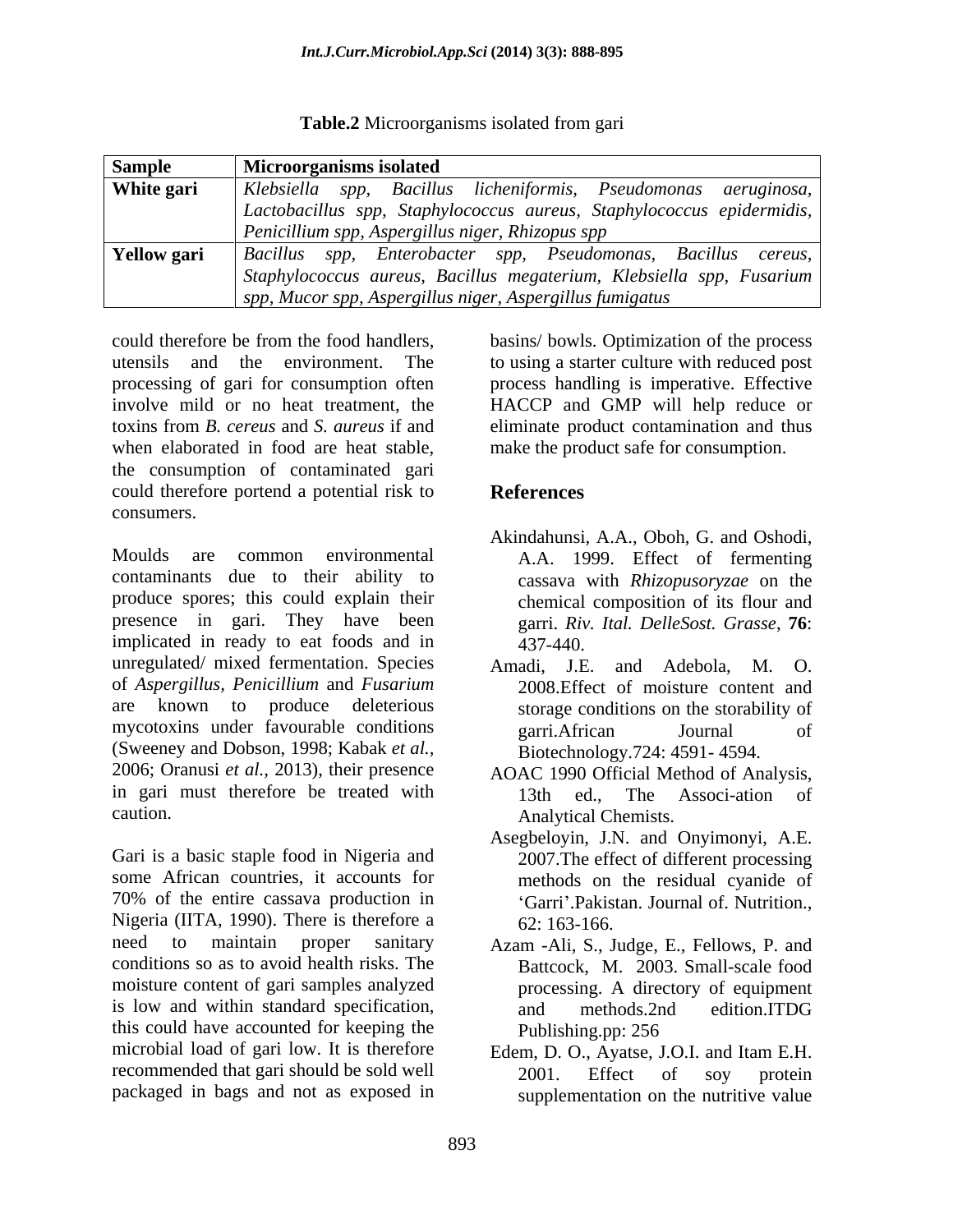**Table.2** Microorganisms isolated from gari

| <b>Sample</b> | <b>Microorganisms isolated</b>                                                                            |
|---------------|-----------------------------------------------------------------------------------------------------------|
| White gari    | Klebsiella spp, Bacillus licheniformis, Pseudomonas aeruginosa,                                           |
|               | Lactobacillus spp, Staphylococcus aureus, Staphylococcus epidermidis,                                     |
|               | Penicillium spp, Aspergillus niger, Rhizopus spp                                                          |
|               | $\mathbf{Y}$ <b>ellow gari</b> $\mathbf{z}$ Bacillus spp, Enterobacter spp, Pseudomonas, Bacillus cereus, |
|               | Staphylococcus aureus, Bacillus megaterium, Klebsiella spp, Fusarium                                      |
|               | $\vert$ spp, Mucor spp, Aspergillus niger, Aspergillus fumigatus                                          |

could therefore be from the food handlers, basins/ bowls. Optimization of the process utensils and the environment. The to using a starter culture with reduced post processing of gari for consumption often process handling is imperative. Effective involve mild or no heat treatment, the HACCP and GMP will help reduce or toxins from *B. cereus* and *S. aureus* if and eliminate product contamination and thus when elaborated in food are heat stable, make the product safe for consumption. the consumption of contaminated gari could therefore portend a potential risk to **References** consumers.

Moulds are common environmental A.A. 1999. Effect of fermenting contaminants due to their ability to produce spores; this could explain their presence in gari. They have been implicated in ready to eat foods and in  $\frac{437-440}{437-440}$ unregulated/ mixed fermentation. Species Amadi, J.E. and Adebola M. O. of *Aspergillus, Penicillium* and *Fusarium* are known to produce deleterious storage conditions on the storability of mycotoxins under favourable conditions early equally equal to the set of the set of the set of the set of the set of the set of the set of the set of the set of the set of the set of the set of the set of the set of the se (Sweeney and Dobson, 1998; Kabak *et al.,* 2006; Oranusi *et al.,* 2013), their presence AOAC 1990 Official Method of Analysis, in gari must therefore be treated with 13th ed., The Associ-ation of

Gari is a basic staple food in Nigeria and some African countries, it accounts for 70% of the entire cassava production in Nigeria (IITA, 1990). There is therefore a  $62: 163-166$ . need to maintain proper sanitary Azam -Ali, S., Judge, E., Fellows, P. and conditions so as to avoid health risks. The moisture content of gari samples analyzed processing. A directory of equipment is low and within standard specification, and methods.2nd edition.ITDG this could have accounted for keeping the Publishing.pp: 256 microbial load of gari low. It is therefore recommended that gari should be sold well  $2001$ . Effect of soy protein

# **References**

- Akindahunsi, A.A., Oboh, G. and Oshodi, cassava with *Rhizopusoryzae* on the chemical composition of its flour and garri. *Riv. Ital. DelleSost. Grasse*, **76**: 437-440.
- Amadi, J.E. and Adebola, 2008.Effect of moisture content and garri.African Journal of Biotechnology.724: 4591- 4594.
- caution. Analytical Chemists. 13th ed., The Associ-ation of
	- Asegbeloyin, J.N. and Onyimonyi, A.E. 2007.The effect of different processing methods on the residual cyanide of 'Garri'.Pakistan. Journal of. Nutrition., 62: 163-166.
	- Battcock, M. 2003. Small-scale food and methods.2nd edition.ITDG Publishing.pp: 256
- packaged in bags and not as exposed in supplementation on the nutritive valueEdem, D. O., Ayatse, J.O.I. and Itam E.H. 2001. Effect of soy protein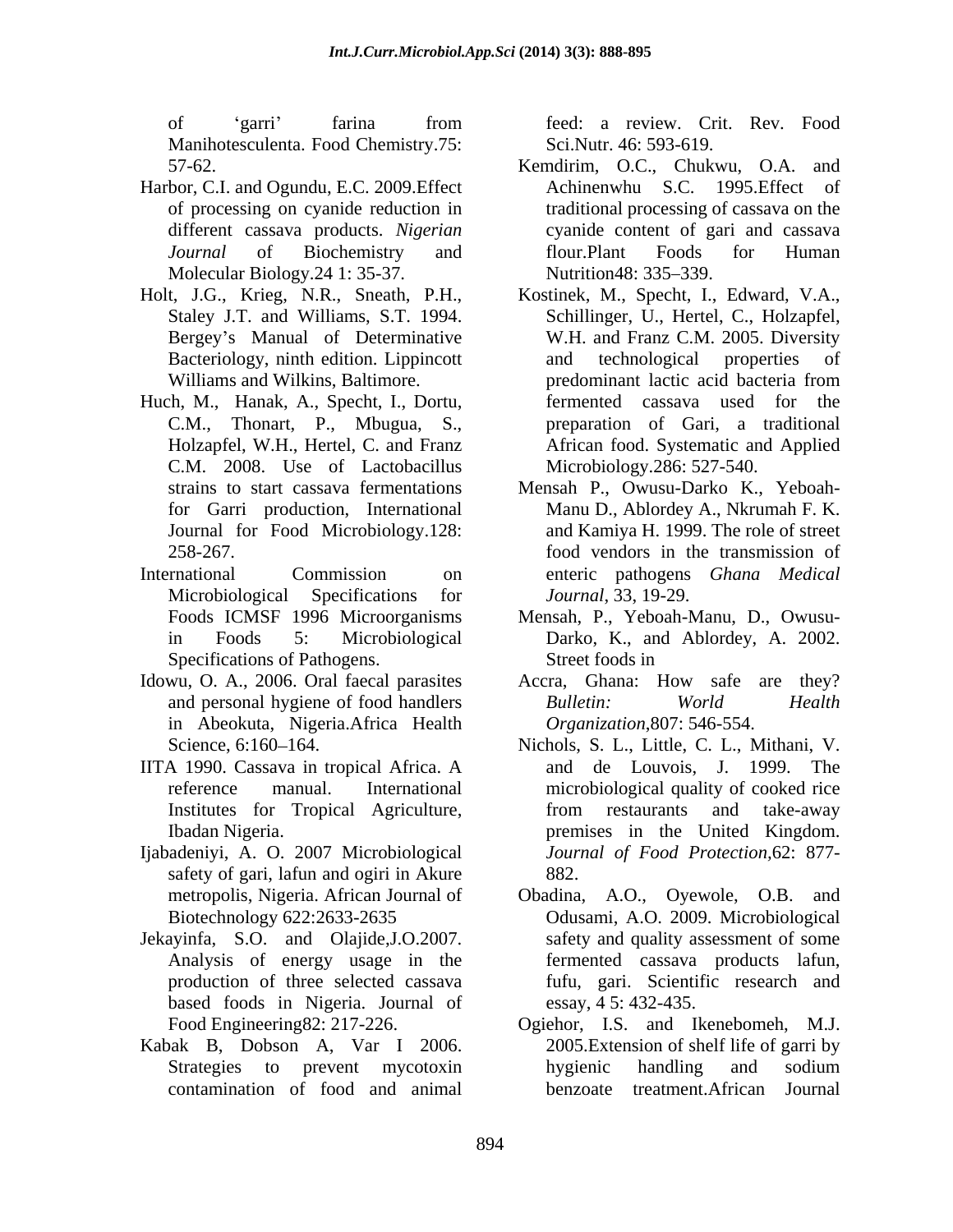Manihotesculenta. Food Chemistry.75:

- Harbor, C.I. and Ogundu, E.C. 2009.Effect of processing on cyanide reduction in Molecular Biology.24 1: 35-37. Nutrition48: 335–339.
- Holt, J.G., Krieg, N.R., Sneath, P.H.,
- Huch, M., Hanak, A., Specht, I., Dortu, C.M., Thonart, P., Mbugua, S., C.M. 2008. Use of Lactobacillus for Garri production, International
- Microbiological Specifications for *Journal*, 33, 19-29. Specifications of Pathogens. Street foods in
- Idowu, O. A., 2006. Oral faecal parasites in Abeokuta, Nigeria.Africa Health
- IITA 1990. Cassava in tropical Africa. A
- Ijabadeniyi, A. O. 2007 Microbiological safety of gari, lafun and ogiri in Akure 882.
- Jekayinfa, S.O. and Olajide,J.O.2007. based foods in Nigeria. Journal of
- Kabak B, Dobson A, Var I 2006.

of 'garri' farina from feed: a review. Crit. Rev. Food feed: a review. Crit. Rev. Food Sci.Nutr. 46: 593-619.

- 57-62. Kemdirim, O.C., Chukwu, O.A. and different cassava products. *Nigerian*  cyanide content of gari and cassava *Journal* of Biochemistry and flour.Plant Foods for Human Achinenwhu S.C. 1995.Effect of traditional processing of cassava on the flour.Plant Foods for Human Nutrition 48: 335–339.
- Staley J.T. and Williams, S.T. 1994. Schillinger, U., Hertel, C., Holzapfel, Bergey's Manual of Determinative W.H. and Franz C.M. 2005. Diversity Bacteriology, ninth edition. Lippincott and technological properties of Williams and Wilkins, Baltimore. The predominant lactic acid bacteria from Holzapfel, W.H., Hertel, C. and Franz African food. Systematic and Applied Kostinek, M., Specht, I., Edward, V.A., and technological properties of predominant lactic acid bacteria from fermented cassava used for preparation of Gari, a traditional Microbiology.286: 527-540.
- strains to start cassava fermentations Mensah P., Owusu-Darko K., Yeboah- Journal for Food Microbiology.128: and Kamiya H. 1999. The role of street 258-267. food vendors in the transmission of International Commission on enteric pathogens *Ghana Medical* Manu D., Ablordey A., Nkrumah F. K. *Journal*, 33, 19-29.
	- Foods ICMSF 1996 Microorganisms Mensah, P., Yeboah-Manu, D., Owusu in Foods 5: Microbiological Darko, K., and Ablordey, A. 2002. Street foods in
	- and personal hygiene of food handlers Bulletin: World Health Accra, Ghana: How safe are they? *Bulletin: World Health Organization*,807: 546-554.
	- Science, 6:160–164. Nichols, S. L., Little, C. L., Mithani, V. reference manual. International microbiological quality of cooked rice Institutes for Tropical Agriculture, Ibadan Nigeria. premises in the United Kingdom. and de Louvois, J. 1999. The from restaurants and take-away *Journal of Food Protection,*62: 877- 882.
	- metropolis, Nigeria. African Journal of Obadina, A.O., Oyewole, O.B. and Biotechnology 622:2633-2635 Odusami, A.O. 2009. Microbiological Analysis of energy usage in the fermented cassava products lafun, production of three selected cassava fufu, gari. Scientific research and safety and quality assessment of some essay, 4 5: 432-435.
	- Food Engineering82: 217-226. Ogiehor, I.S. and Ikenebomeh, M.J. Strategies to prevent mycotoxin contamination of food and animal 2005.Extension of shelf life of garri by hygienic handling and sodium benzoate treatment.African Journal